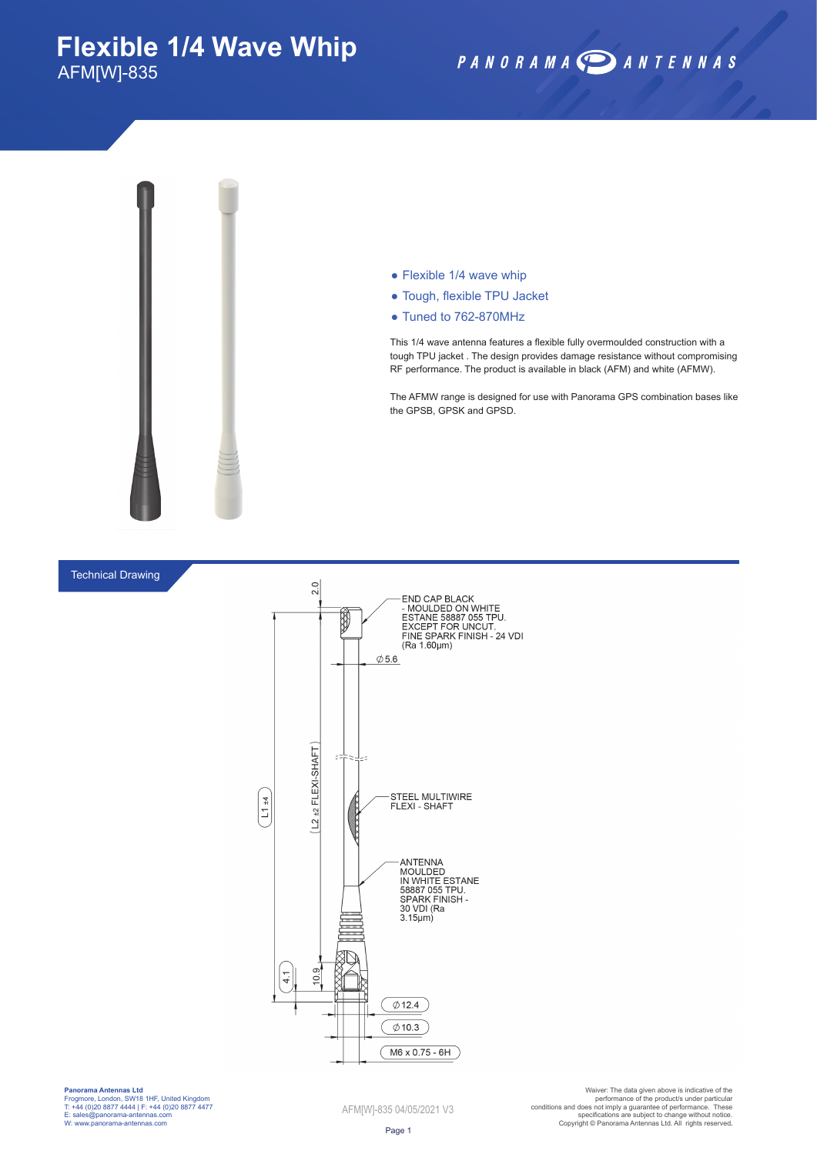## **Flexible 1/4 Wave Whip** AFM[W]-835

## PANORAMA DANTENNAS



#### $\bullet$  Flexible 1/4 wave whip

- Tough, flexible TPU Jacket
- Tuned to 762-870MHz

This 1/4 wave antenna features a flexible fully overmoulded construction with a tough TPU jacket . The design provides damage resistance without compromising RF performance. The product is available in black (AFM) and white (AFMW).

The AFMW range is designed for use with Panorama GPS combination bases like the GPSB, GPSK and GPSD.

### Technical Drawing



**Panorama Antennas Ltd** Frogmore, London, SW18 1HF, United Kingdom T: +44 (0)20 8877 4444 | F: +44 (0)20 8877 4477 E: sales@panorama-antennas.com W: www.panorama-antennas.com

AFM[W]-835 04/05/2021 V3

Warer: The data given above is indicative of the<br>performance of the product/s under particular<br>conditions and does not imply a guarantee of performance. These<br>specifications are subject to change without notice.<br>Copyright